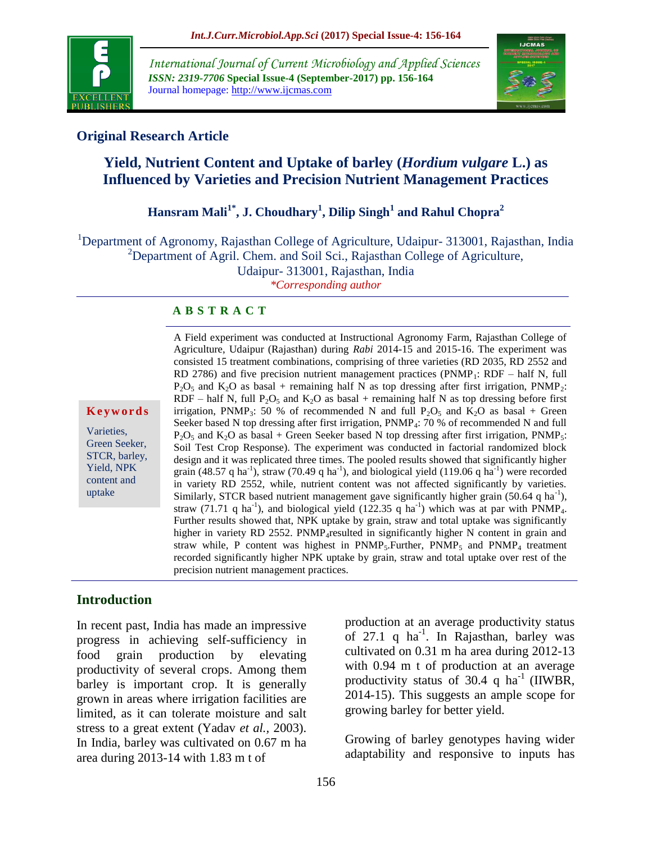

*International Journal of Current Microbiology and Applied Sciences ISSN: 2319-7706* **Special Issue-4 (September-2017) pp. 156-164** Journal homepage: http://www.ijcmas.com



# **Original Research Article**

# **Yield, Nutrient Content and Uptake of barley (***Hordium vulgare* **L.) as Influenced by Varieties and Precision Nutrient Management Practices**

# **Hansram Mali1\*, J. Choudhary<sup>1</sup> , Dilip Singh<sup>1</sup> and Rahul Chopra<sup>2</sup>**

<sup>1</sup>Department of Agronomy, Rajasthan College of Agriculture, Udaipur- 313001, Rajasthan, India <sup>2</sup>Department of Agril. Chem. and Soil Sci., Rajasthan College of Agriculture, Udaipur- 313001, Rajasthan, India

*\*Corresponding author*

### **A B S T R A C T**

**K e y w o r d s**

Varieties, Green Seeker, STCR, barley, Yield, NPK content and uptake

A Field experiment was conducted at Instructional Agronomy Farm, Rajasthan College of Agriculture, Udaipur (Rajasthan) during *Rabi* 2014-15 and 2015-16. The experiment was consisted 15 treatment combinations, comprising of three varieties (RD 2035, RD 2552 and RD 2786) and five precision nutrient management practices ( $PNMP_1$ :  $RDF - half N$ , full  $P_2O_5$  and  $K_2O$  as basal + remaining half N as top dressing after first irrigation, PNMP<sub>2</sub>: RDF – half N, full P<sub>2</sub>O<sub>5</sub> and K<sub>2</sub>O as basal + remaining half N as top dressing before first irrigation, PNMP<sub>3</sub>: 50 % of recommended N and full P<sub>2</sub>O<sub>5</sub> and K<sub>2</sub>O as basal + Green Seeker based N top dressing after first irrigation,  $PNMP_4$ : 70 % of recommended N and full  $P_2O_5$  and  $K_2O$  as basal + Green Seeker based N top dressing after first irrigation, PNMP<sub>5</sub>: Soil Test Crop Response). The experiment was conducted in factorial randomized block design and it was replicated three times. The pooled results showed that significantly higher grain (48.57 q ha<sup>-1</sup>), straw (70.49 q ha<sup>-1</sup>), and biological yield (119.06 q ha<sup>-1</sup>) were recorded in variety RD 2552, while, nutrient content was not affected significantly by varieties. Similarly, STCR based nutrient management gave significantly higher grain  $(50.64 \text{ q ha}^{-1})$ , straw (71.71 q ha<sup>-1</sup>), and biological yield (122.35 q ha<sup>-1</sup>) which was at par with PNMP<sub>4</sub>. Further results showed that, NPK uptake by grain, straw and total uptake was significantly higher in variety RD 2552. PNMP<sub>4</sub>resulted in significantly higher N content in grain and straw while, P content was highest in  $P NMP_5$ . Further,  $P NMP_5$  and  $P NMP_4$  treatment recorded significantly higher NPK uptake by grain, straw and total uptake over rest of the precision nutrient management practices.

### **Introduction**

In recent past, India has made an impressive progress in achieving self-sufficiency in food grain production by elevating productivity of several crops. Among them barley is important crop. It is generally grown in areas where irrigation facilities are limited, as it can tolerate moisture and salt stress to a great extent (Yadav *et al.,* 2003). In India, barley was cultivated on 0.67 m ha area during 2013-14 with 1.83 m t of

production at an average productivity status of 27.1 q  $ha^{-1}$ . In Rajasthan, barley was cultivated on 0.31 m ha area during 2012-13 with 0.94 m t of production at an average productivity status of 30.4 q ha<sup>-1</sup> (IIWBR, 2014-15). This suggests an ample scope for growing barley for better yield.

Growing of barley genotypes having wider adaptability and responsive to inputs has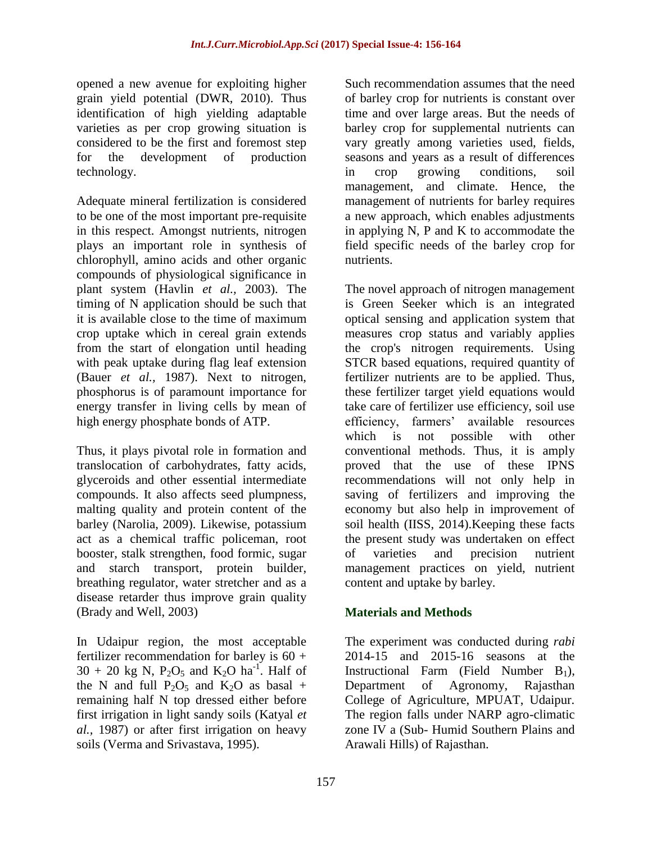opened a new avenue for exploiting higher grain yield potential (DWR, 2010). Thus identification of high yielding adaptable varieties as per crop growing situation is considered to be the first and foremost step for the development of production technology.

Adequate mineral fertilization is considered to be one of the most important pre-requisite in this respect. Amongst nutrients, nitrogen plays an important role in synthesis of chlorophyll, amino acids and other organic compounds of physiological significance in plant system (Havlin *et al.,* 2003). The timing of N application should be such that it is available close to the time of maximum crop uptake which in cereal grain extends from the start of elongation until heading with peak uptake during flag leaf extension (Bauer *et al.,* 1987). Next to nitrogen, phosphorus is of paramount importance for energy transfer in living cells by mean of high energy phosphate bonds of ATP.

Thus, it plays pivotal role in formation and translocation of carbohydrates, fatty acids, glyceroids and other essential intermediate compounds. It also affects seed plumpness, malting quality and protein content of the barley (Narolia, 2009). Likewise, potassium act as a chemical traffic policeman, root booster, stalk strengthen, food formic, sugar and starch transport, protein builder, breathing regulator, water stretcher and as a disease retarder thus improve grain quality (Brady and Well, 2003)

In Udaipur region, the most acceptable fertilizer recommendation for barley is  $60 +$  $30 + 20$  kg N, P<sub>2</sub>O<sub>5</sub> and K<sub>2</sub>O ha<sup>-1</sup>. Half of the N and full  $P_2O_5$  and  $K_2O$  as basal + remaining half N top dressed either before first irrigation in light sandy soils (Katyal *et al.,* 1987) or after first irrigation on heavy soils (Verma and Srivastava, 1995).

Such recommendation assumes that the need of barley crop for nutrients is constant over time and over large areas. But the needs of barley crop for supplemental nutrients can vary greatly among varieties used, fields, seasons and years as a result of differences in crop growing conditions, soil management, and climate. Hence, the management of nutrients for barley requires a new approach, which enables adjustments in applying N, P and K to accommodate the field specific needs of the barley crop for nutrients.

The novel approach of nitrogen management is Green Seeker which is an integrated optical sensing and application system that measures crop status and variably applies the crop's nitrogen requirements. Using STCR based equations, required quantity of fertilizer nutrients are to be applied. Thus, these fertilizer target yield equations would take care of fertilizer use efficiency, soil use efficiency, farmers' available resources which is not possible with other conventional methods. Thus, it is amply proved that the use of these IPNS recommendations will not only help in saving of fertilizers and improving the economy but also help in improvement of soil health (IISS, 2014).Keeping these facts the present study was undertaken on effect of varieties and precision nutrient management practices on yield, nutrient content and uptake by barley.

# **Materials and Methods**

The experiment was conducted during *rabi* 2014-15 and 2015-16 seasons at the Instructional Farm (Field Number  $B_1$ ), Department of Agronomy, Rajasthan College of Agriculture, MPUAT, Udaipur. The region falls under NARP agro-climatic zone IV a (Sub- Humid Southern Plains and Arawali Hills) of Rajasthan.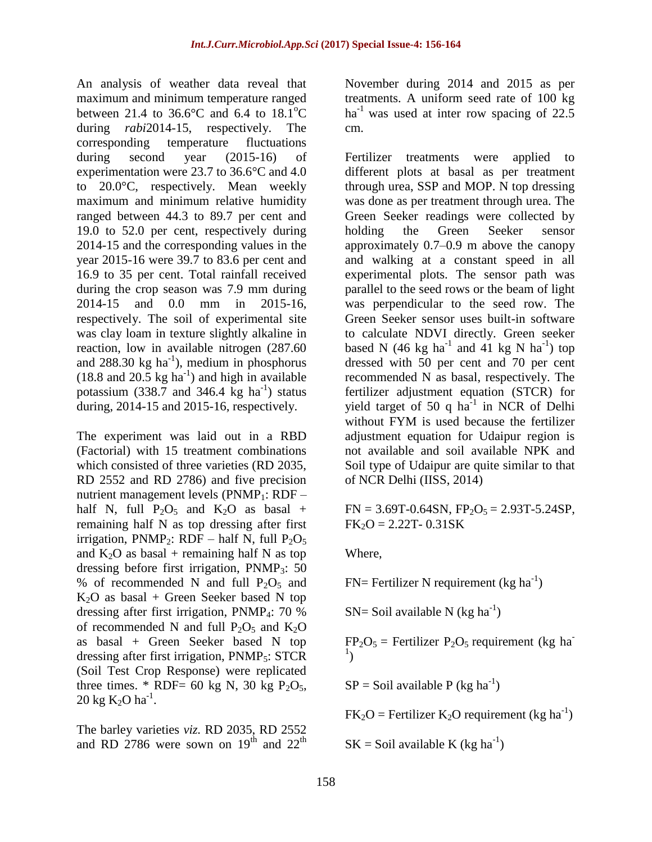An analysis of weather data reveal that maximum and minimum temperature ranged between 21.4 to 36.6 $\degree$ C and 6.4 to 18.1 $\degree$ C during *rabi*2014-15, respectively. The corresponding temperature fluctuations during second year (2015-16) of experimentation were 23.7 to 36.6°C and 4.0 to 20.0°C, respectively. Mean weekly maximum and minimum relative humidity ranged between 44.3 to 89.7 per cent and 19.0 to 52.0 per cent, respectively during 2014-15 and the corresponding values in the year 2015-16 were 39.7 to 83.6 per cent and 16.9 to 35 per cent. Total rainfall received during the crop season was 7.9 mm during 2014-15 and 0.0 mm in 2015-16, respectively. The soil of experimental site was clay loam in texture slightly alkaline in reaction, low in available nitrogen (287.60 and  $288.30 \text{ kg} \text{ ha}^{-1}$ ), medium in phosphorus  $(18.8 \text{ and } 20.5 \text{ kg ha}^{-1})$  and high in available potassium (338.7 and 346.4  $\text{kg}$  ha<sup>-1</sup>) status during, 2014-15 and 2015-16, respectively.

The experiment was laid out in a RBD (Factorial) with 15 treatment combinations which consisted of three varieties (RD 2035, RD 2552 and RD 2786) and five precision nutrient management levels ( $PNMP_1$ :  $RDF$ half N, full  $P_2O_5$  and  $K_2O$  as basal + remaining half N as top dressing after first irrigation, PNMP<sub>2</sub>: RDF – half N, full  $P_2O_5$ and  $K_2O$  as basal + remaining half N as top dressing before first irrigation,  $PNNP_3$ : 50 % of recommended N and full  $P_2O_5$  and  $K<sub>2</sub>O$  as basal + Green Seeker based N top dressing after first irrigation, PNMP4: 70 % of recommended N and full  $P_2O_5$  and  $K_2O$ as basal + Green Seeker based N top dressing after first irrigation, PNMP5: STCR (Soil Test Crop Response) were replicated three times. \* RDF= 60 kg N, 30 kg  $P_2O_5$ ,  $20 \text{ kg K}_2\text{O ha}^{-1}$ .

The barley varieties *viz.* RD 2035, RD 2552 and RD 2786 were sown on  $19<sup>th</sup>$  and  $22<sup>th</sup>$ 

November during 2014 and 2015 as per treatments. A uniform seed rate of 100 kg  $ha^{-1}$  was used at inter row spacing of 22.5 cm.

Fertilizer treatments were applied to different plots at basal as per treatment through urea, SSP and MOP. N top dressing was done as per treatment through urea. The Green Seeker readings were collected by holding the Green Seeker sensor approximately 0.7–0.9 m above the canopy and walking at a constant speed in all experimental plots. The sensor path was parallel to the seed rows or the beam of light was perpendicular to the seed row. The Green Seeker sensor uses built-in software to calculate NDVI directly. Green seeker based N (46 kg ha<sup>-1</sup> and 41 kg N ha<sup>-1</sup>) top dressed with 50 per cent and 70 per cent recommended N as basal, respectively. The fertilizer adjustment equation (STCR) for yield target of 50 q  $ha^{-1}$  in NCR of Delhi without FYM is used because the fertilizer adjustment equation for Udaipur region is not available and soil available NPK and Soil type of Udaipur are quite similar to that of NCR Delhi (IISS, 2014)

 $FN = 3.69T - 0.64SN$ ,  $FP_2O_5 = 2.93T - 5.24SP$ ,  $FK<sub>2</sub>O = 2.22T - 0.31SK$ 

Where,

 $FN$  Fertilizer N requirement (kg ha<sup>-1</sup>)

 $SN =$  Soil available N (kg ha<sup>-1</sup>)

 $FP<sub>2</sub>O<sub>5</sub>$  = Fertilizer  $P<sub>2</sub>O<sub>5</sub>$  requirement (kg ha-1 )

 $SP =$  Soil available P (kg ha<sup>-1</sup>)

 $FK<sub>2</sub>O = Fertilizer K<sub>2</sub>O requirement (kg ha<sup>-1</sup>)$ 

 $SK = Soil$  available K (kg ha<sup>-1</sup>)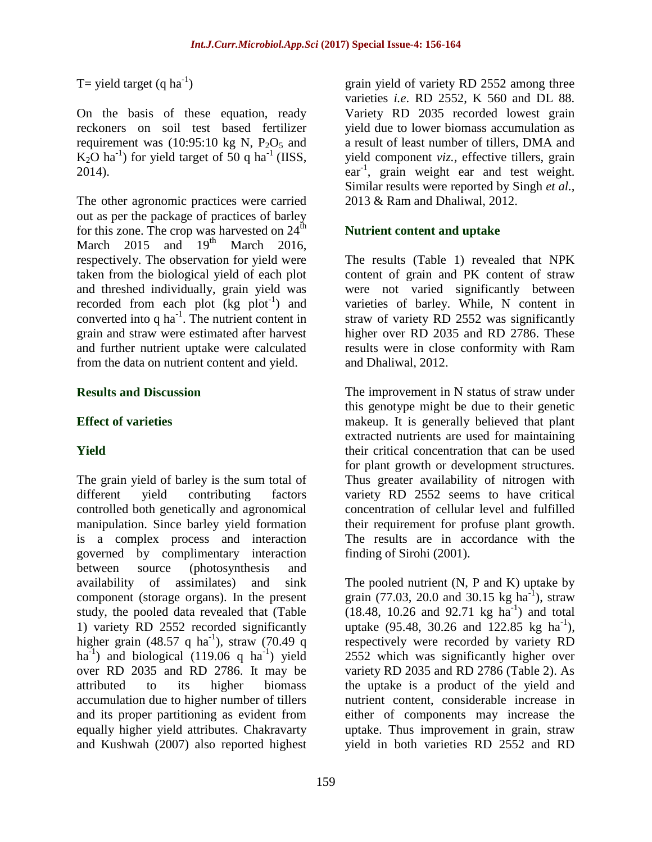T= yield target  $(q \text{ ha}^{-1})$ 

On the basis of these equation, ready reckoners on soil test based fertilizer requirement was  $(10:95:10 \text{ kg N}, P_2O_5 \text{ and }$  $K_2O$  ha<sup>-1</sup>) for yield target of 50 q ha<sup>-1</sup> (IISS, 2014).

The other agronomic practices were carried out as per the package of practices of barley for this zone. The crop was harvested on  $24<sup>th</sup>$ March  $2015$  and  $19<sup>th</sup>$  March  $2016$ , respectively. The observation for yield were taken from the biological yield of each plot and threshed individually, grain yield was recorded from each plot  $(kg \text{ plot}^{-1})$  and converted into q ha<sup>-1</sup>. The nutrient content in grain and straw were estimated after harvest and further nutrient uptake were calculated from the data on nutrient content and yield.

### **Results and Discussion**

### **Effect of varieties**

# **Yield**

The grain yield of barley is the sum total of different yield contributing factors controlled both genetically and agronomical manipulation. Since barley yield formation is a complex process and interaction governed by complimentary interaction between source (photosynthesis and availability of assimilates) and sink component (storage organs). In the present study, the pooled data revealed that (Table 1) variety RD 2552 recorded significantly higher grain (48.57 q ha<sup>-1</sup>), straw (70.49 q ha<sup>-1</sup>) and biological  $(119.06 \text{ q} \text{ ha}^{-1})$  yield over RD 2035 and RD 2786. It may be attributed to its higher biomass accumulation due to higher number of tillers and its proper partitioning as evident from equally higher yield attributes. Chakravarty and Kushwah (2007) also reported highest

grain yield of variety RD 2552 among three varieties *i.e*. RD 2552, K 560 and DL 88. Variety RD 2035 recorded lowest grain yield due to lower biomass accumulation as a result of least number of tillers, DMA and yield component *viz.*, effective tillers, grain ear<sup>-1</sup>, grain weight ear and test weight. Similar results were reported by Singh *et al.,* 2013 & Ram and Dhaliwal, 2012.

# **Nutrient content and uptake**

The results (Table 1) revealed that NPK content of grain and PK content of straw were not varied significantly between varieties of barley. While, N content in straw of variety RD 2552 was significantly higher over RD 2035 and RD 2786. These results were in close conformity with Ram and Dhaliwal, 2012.

The improvement in N status of straw under this genotype might be due to their genetic makeup. It is generally believed that plant extracted nutrients are used for maintaining their critical concentration that can be used for plant growth or development structures. Thus greater availability of nitrogen with variety RD 2552 seems to have critical concentration of cellular level and fulfilled their requirement for profuse plant growth. The results are in accordance with the finding of Sirohi (2001).

The pooled nutrient (N, P and K) uptake by grain (77.03, 20.0 and 30.15 kg ha<sup>-1</sup>), straw  $(18.48, 10.26, and 92.71 kg ha<sup>-1</sup>)$  and total uptake  $(95.48, 30.26 \text{ and } 122.85 \text{ kg} \text{ ha}^{-1}),$ respectively were recorded by variety RD 2552 which was significantly higher over variety RD 2035 and RD 2786 (Table 2). As the uptake is a product of the yield and nutrient content, considerable increase in either of components may increase the uptake. Thus improvement in grain, straw yield in both varieties RD 2552 and RD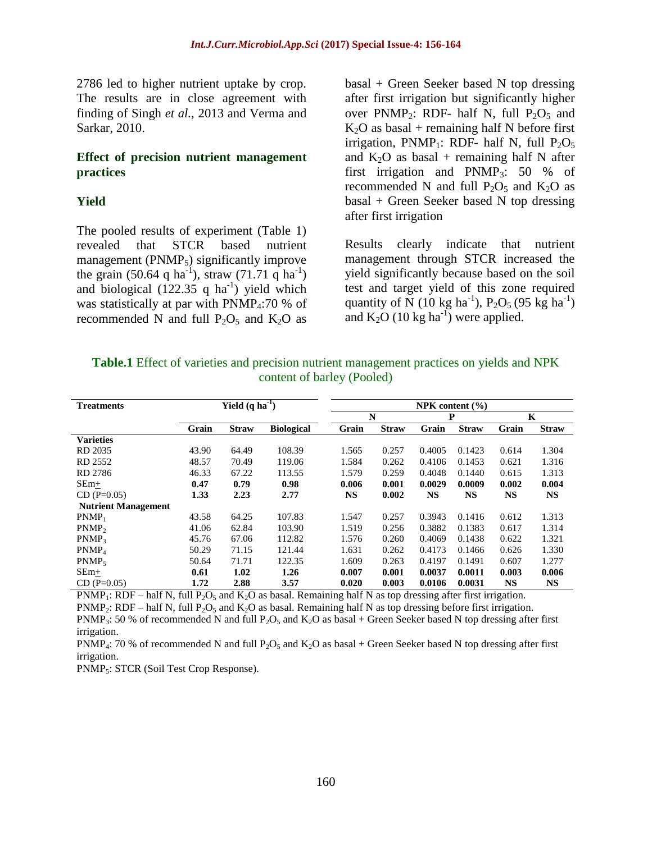2786 led to higher nutrient uptake by crop. The results are in close agreement with finding of Singh *et al.,* 2013 and Verma and Sarkar, 2010.

#### **Effect of precision nutrient management practices**

### **Yield**

The pooled results of experiment (Table 1) revealed that STCR based nutrient management ( $P NMP<sub>5</sub>$ ) significantly improve the grain (50.64 q ha<sup>-1</sup>), straw (71.71 q ha<sup>-1</sup>) and biological  $(122.35 \text{ q ha}^{-1})$  yield which was statistically at par with  $PNNP<sub>4</sub>:70 %$  of recommended N and full  $P_2O_5$  and  $K_2O$  as

basal + Green Seeker based N top dressing after first irrigation but significantly higher over PNMP<sub>2</sub>: RDF- half N, full  $P_2O_5$  and  $K_2O$  as basal + remaining half N before first irrigation, PNMP<sub>1</sub>: RDF- half N, full  $P_2O_5$ and  $K_2O$  as basal + remaining half N after first irrigation and  $P NMP_3$ : 50 % of recommended N and full  $P_2O_5$  and  $K_2O$  as basal + Green Seeker based N top dressing after first irrigation

Results clearly indicate that nutrient management through STCR increased the yield significantly because based on the soil test and target yield of this zone required quantity of N (10 kg ha<sup>-1</sup>), P<sub>2</sub>O<sub>5</sub> (95 kg ha<sup>-1</sup>) and  $K_2O$  (10 kg ha<sup>-1</sup>) were applied.

| <b>Table.1</b> Effect of varieties and precision nutrient management practices on yields and NPK |
|--------------------------------------------------------------------------------------------------|
| content of barley (Pooled)                                                                       |

| <b>Treatments</b>          | Yield $(q \, ha^{-1})$<br>NPK content $(\% )$ |              |                   |       |              |           |              |           |              |
|----------------------------|-----------------------------------------------|--------------|-------------------|-------|--------------|-----------|--------------|-----------|--------------|
|                            |                                               |              |                   | N     |              | P         |              | K         |              |
|                            | Grain                                         | <b>Straw</b> | <b>Biological</b> | Grain | <b>Straw</b> | Grain     | <b>Straw</b> | Grain     | <b>Straw</b> |
| <b>Varieties</b>           |                                               |              |                   |       |              |           |              |           |              |
| RD 2035                    | 43.90                                         | 64.49        | 108.39            | 1.565 | 0.257        | 0.4005    | 0.1423       | 0.614     | 1.304        |
| RD 2552                    | 48.57                                         | 70.49        | 119.06            | 1.584 | 0.262        | 0.4106    | 0.1453       | 0.621     | 1.316        |
| RD 2786                    | 46.33                                         | 67.22        | 113.55            | 1.579 | 0.259        | 0.4048    | 0.1440       | 0.615     | 1.313        |
| $SEm+$                     | 0.47                                          | 0.79         | 0.98              | 0.006 | 0.001        | 0.0029    | 0.0009       | 0.002     | 0.004        |
| $CD (P=0.05)$              | 1.33                                          | 2.23         | 2.77              | NS    | 0.002        | <b>NS</b> | <b>NS</b>    | <b>NS</b> | <b>NS</b>    |
| <b>Nutrient Management</b> |                                               |              |                   |       |              |           |              |           |              |
| $PNMP_1$                   | 43.58                                         | 64.25        | 107.83            | 1.547 | 0.257        | 0.3943    | 0.1416       | 0.612     | 1.313        |
| P NMP <sub>2</sub>         | 41.06                                         | 62.84        | 103.90            | 1.519 | 0.256        | 0.3882    | 0.1383       | 0.617     | 1.314        |
| P NMP <sub>3</sub>         | 45.76                                         | 67.06        | 112.82            | 1.576 | 0.260        | 0.4069    | 0.1438       | 0.622     | 1.321        |
| PNMP <sub>4</sub>          | 50.29                                         | 71.15        | 121.44            | 1.631 | 0.262        | 0.4173    | 0.1466       | 0.626     | 1.330        |
| $P NMP_5$                  | 50.64                                         | 71.71        | 122.35            | 1.609 | 0.263        | 0.4197    | 0.1491       | 0.607     | 1.277        |
| $SEm+$                     | 0.61                                          | 1.02         | 1.26              | 0.007 | 0.001        | 0.0037    | 0.0011       | 0.003     | 0.006        |
| $CD (P=0.05)$              | 1.72                                          | 2.88         | 3.57              | 0.020 | 0.003        | 0.0106    | 0.0031       | NS        | <b>NS</b>    |

PNMP<sub>1</sub>: RDF – half N, full P<sub>2</sub>O<sub>5</sub> and K<sub>2</sub>O as basal. Remaining half N as top dressing after first irrigation.

PNMP<sub>2</sub>: RDF – half N, full P<sub>2</sub>O<sub>5</sub> and K<sub>2</sub>O as basal. Remaining half N as top dressing before first irrigation.

PNMP<sub>3</sub>: 50 % of recommended N and full P<sub>2</sub>O<sub>5</sub> and K<sub>2</sub>O as basal + Green Seeker based N top dressing after first irrigation.

PNMP<sub>4</sub>: 70 % of recommended N and full P<sub>2</sub>O<sub>5</sub> and K<sub>2</sub>O as basal + Green Seeker based N top dressing after first irrigation.

PNMP5: STCR (Soil Test Crop Response).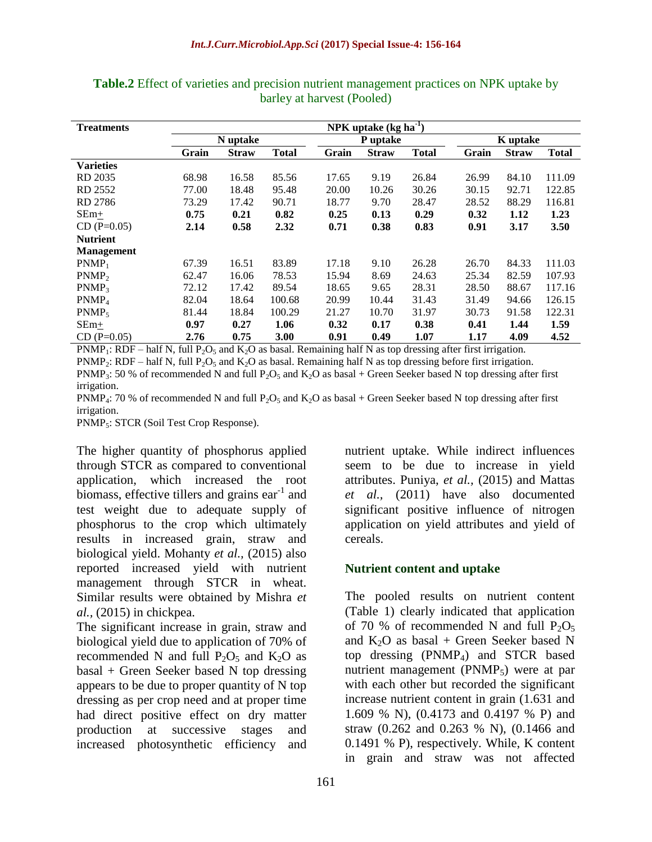| <b>Treatments</b>  | NPK uptake $(kg ha-1)$ |              |              |          |              |              |          |              |              |
|--------------------|------------------------|--------------|--------------|----------|--------------|--------------|----------|--------------|--------------|
|                    | N uptake               |              |              | P uptake |              |              | K uptake |              |              |
|                    | Grain                  | <b>Straw</b> | <b>Total</b> | Grain    | <b>Straw</b> | <b>Total</b> | Grain    | <b>Straw</b> | <b>Total</b> |
| <b>Varieties</b>   |                        |              |              |          |              |              |          |              |              |
| RD 2035            | 68.98                  | 16.58        | 85.56        | 17.65    | 9.19         | 26.84        | 26.99    | 84.10        | 111.09       |
| RD 2552            | 77.00                  | 18.48        | 95.48        | 20.00    | 10.26        | 30.26        | 30.15    | 92.71        | 122.85       |
| RD 2786            | 73.29                  | 17.42        | 90.71        | 18.77    | 9.70         | 28.47        | 28.52    | 88.29        | 116.81       |
| $SEm+$             | 0.75                   | 0.21         | 0.82         | 0.25     | 0.13         | 0.29         | 0.32     | 1.12         | 1.23         |
| $CD(P=0.05)$       | 2.14                   | 0.58         | 2.32         | 0.71     | 0.38         | 0.83         | 0.91     | 3.17         | 3.50         |
| <b>Nutrient</b>    |                        |              |              |          |              |              |          |              |              |
| <b>Management</b>  |                        |              |              |          |              |              |          |              |              |
| $P NMP_1$          | 67.39                  | 16.51        | 83.89        | 17.18    | 9.10         | 26.28        | 26.70    | 84.33        | 111.03       |
| P NMP <sub>2</sub> | 62.47                  | 16.06        | 78.53        | 15.94    | 8.69         | 24.63        | 25.34    | 82.59        | 107.93       |
| PNMP <sub>3</sub>  | 72.12                  | 17.42        | 89.54        | 18.65    | 9.65         | 28.31        | 28.50    | 88.67        | 117.16       |
| PNMP <sub>4</sub>  | 82.04                  | 18.64        | 100.68       | 20.99    | 10.44        | 31.43        | 31.49    | 94.66        | 126.15       |
| $PNMP_5$           | 81.44                  | 18.84        | 100.29       | 21.27    | 10.70        | 31.97        | 30.73    | 91.58        | 122.31       |
| $SEm+$             | 0.97                   | 0.27         | 1.06         | 0.32     | 0.17         | 0.38         | 0.41     | 1.44         | 1.59         |
| $CD(P=0.05)$       | 2.76                   | 0.75         | <b>3.00</b>  | 0.91     | 0.49         | 1.07         | 1.17     | 4.09         | 4.52         |

**Table.2** Effect of varieties and precision nutrient management practices on NPK uptake by barley at harvest (Pooled)

PNMP<sub>1</sub>: RDF – half N, full P<sub>2</sub>O<sub>5</sub> and K<sub>2</sub>O as basal. Remaining half N as top dressing after first irrigation.

PNMP<sub>2</sub>: RDF – half N, full P<sub>2</sub>O<sub>5</sub> and K<sub>2</sub>O as basal. Remaining half N as top dressing before first irrigation.

PNMP<sub>3</sub>: 50 % of recommended N and full P<sub>2</sub>O<sub>5</sub> and K<sub>2</sub>O as basal + Green Seeker based N top dressing after first irrigation.

PNMP<sub>4</sub>: 70 % of recommended N and full P<sub>2</sub>O<sub>5</sub> and K<sub>2</sub>O as basal + Green Seeker based N top dressing after first irrigation.

PNMP<sub>5</sub>: STCR (Soil Test Crop Response).

The higher quantity of phosphorus applied through STCR as compared to conventional application, which increased the root biomass, effective tillers and grains  $ear^{-1}$  and test weight due to adequate supply of phosphorus to the crop which ultimately results in increased grain, straw and biological yield. Mohanty *et al.,* (2015) also reported increased yield with nutrient management through STCR in wheat. Similar results were obtained by Mishra *et al.,* (2015) in chickpea.

The significant increase in grain, straw and biological yield due to application of 70% of recommended N and full  $P_2O_5$  and  $K_2O$  as basal + Green Seeker based N top dressing appears to be due to proper quantity of N top dressing as per crop need and at proper time had direct positive effect on dry matter production at successive stages and increased photosynthetic efficiency and

nutrient uptake. While indirect influences seem to be due to increase in yield attributes. Puniya, *et al.,* (2015) and Mattas *et al.,* (2011) have also documented significant positive influence of nitrogen application on yield attributes and yield of cereals.

### **Nutrient content and uptake**

The pooled results on nutrient content (Table 1) clearly indicated that application of 70 % of recommended N and full  $P_2O_5$ and  $K_2O$  as basal + Green Seeker based N top dressing  $(PNMP_4)$  and STCR based nutrient management ( $PNMP_5$ ) were at par with each other but recorded the significant increase nutrient content in grain (1.631 and 1.609 % N), (0.4173 and 0.4197 % P) and straw (0.262 and 0.263 % N), (0.1466 and 0.1491 % P), respectively. While, K content in grain and straw was not affected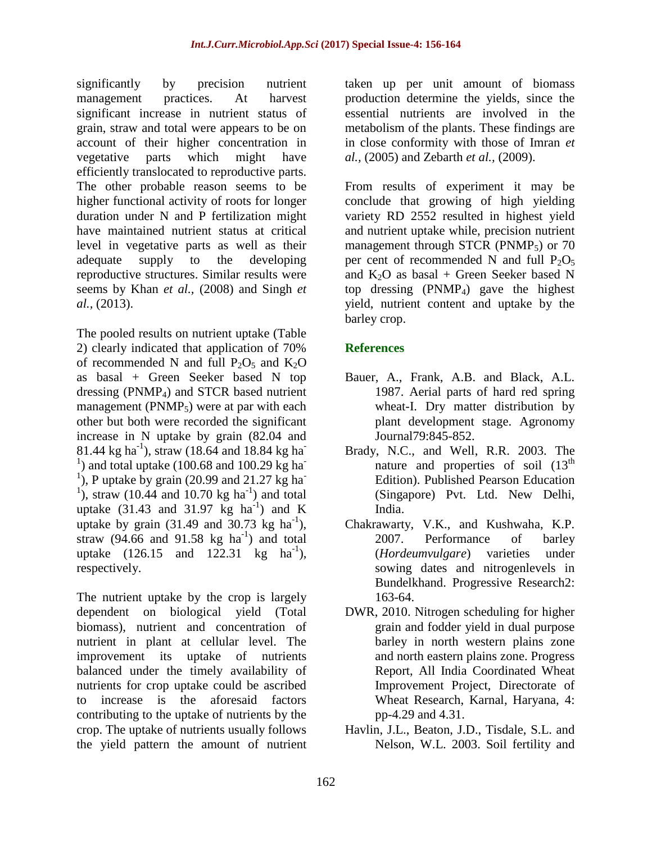significantly by precision nutrient management practices. At harvest significant increase in nutrient status of grain, straw and total were appears to be on account of their higher concentration in vegetative parts which might have efficiently translocated to reproductive parts. The other probable reason seems to be higher functional activity of roots for longer duration under N and P fertilization might have maintained nutrient status at critical level in vegetative parts as well as their adequate supply to the developing reproductive structures. Similar results were seems by Khan *et al.,* (2008) and Singh *et al.,* (2013).

The pooled results on nutrient uptake (Table 2) clearly indicated that application of 70% of recommended N and full  $P_2O_5$  and  $K_2O$ as basal + Green Seeker based N top dressing  $(PNMP_4)$  and STCR based nutrient management ( $PNMP_5$ ) were at par with each other but both were recorded the significant increase in N uptake by grain (82.04 and 81.44 kg ha<sup>-1</sup>), straw (18.64 and 18.84 kg ha<sup>-1</sup>) <sup>1</sup>) and total uptake (100.68 and 100.29 kg ha<sup>1</sup>), P uptake by grain (20.99 and 21.27 kg ha<sup>1</sup>) <sup>1</sup>), straw (10.44 and 10.70 kg ha<sup>-1</sup>) and total uptake  $(31.43 \text{ and } 31.97 \text{ kg } \text{ha}^{-1})$  and K uptake by grain  $(31.49 \text{ and } 30.73 \text{ kg ha}^{-1})$ , straw  $(94.66$  and  $91.58$  kg ha<sup>-1</sup>) and total uptake  $(126.15 \text{ and } 122.31 \text{ kg} \text{ ha}^{-1}),$ respectively.

The nutrient uptake by the crop is largely dependent on biological yield (Total biomass), nutrient and concentration of nutrient in plant at cellular level. The improvement its uptake of nutrients balanced under the timely availability of nutrients for crop uptake could be ascribed to increase is the aforesaid factors contributing to the uptake of nutrients by the crop. The uptake of nutrients usually follows the yield pattern the amount of nutrient

taken up per unit amount of biomass production determine the yields, since the essential nutrients are involved in the metabolism of the plants. These findings are in close conformity with those of Imran *et al.,* (2005) and Zebarth *et al.,* (2009).

From results of experiment it may be conclude that growing of high yielding variety RD 2552 resulted in highest yield and nutrient uptake while, precision nutrient management through STCR ( $PNNP_5$ ) or 70 per cent of recommended N and full  $P_2O_5$ and  $K_2O$  as basal + Green Seeker based N top dressing  $(PNMP_4)$  gave the highest yield, nutrient content and uptake by the barley crop.

# **References**

- Bauer, A., Frank, A.B. and Black, A.L. 1987. Aerial parts of hard red spring wheat-I. Dry matter distribution by plant development stage. Agronomy Journal79:845-852.
- Brady, N.C., and Well, R.R. 2003. The nature and properties of soil  $(13<sup>th</sup>$ Edition). Published Pearson Education (Singapore) Pvt. Ltd. New Delhi, India.
- Chakrawarty, V.K., and Kushwaha, K.P. 2007. Performance of barley (*Hordeumvulgare*) varieties under sowing dates and nitrogenlevels in Bundelkhand. Progressive Research2: 163-64.
- DWR, 2010. Nitrogen scheduling for higher grain and fodder yield in dual purpose barley in north western plains zone and north eastern plains zone. Progress Report, All India Coordinated Wheat Improvement Project, Directorate of Wheat Research, Karnal, Haryana, 4: pp-4.29 and 4.31.
- Havlin, J.L., Beaton, J.D., Tisdale, S.L. and Nelson, W.L. 2003. Soil fertility and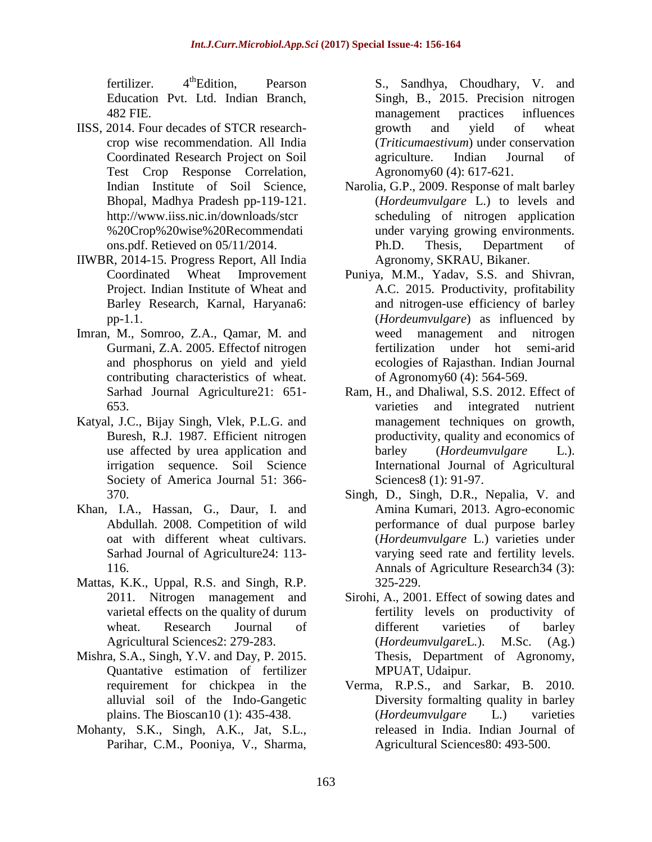$f$ ertilizer.  $4<sup>th</sup>$ Edition. Pearson Education Pvt. Ltd. Indian Branch, 482 FIE.

- IISS, 2014. Four decades of STCR researchcrop wise recommendation. All India Coordinated Research Project on Soil Test Crop Response Correlation, Indian Institute of Soil Science, Bhopal, Madhya Pradesh pp-119-121. [http://www.iiss.nic.in/downloads/stcr](http://www.iiss.nic.in/downloads/stcr%20Crop%20wise%20Recommendations.pdf) [%20Crop%20wise%20Recommendati](http://www.iiss.nic.in/downloads/stcr%20Crop%20wise%20Recommendations.pdf) [ons.pdf.](http://www.iiss.nic.in/downloads/stcr%20Crop%20wise%20Recommendations.pdf) Retieved on 05/11/2014.
- IIWBR, 2014-15. Progress Report, All India Coordinated Wheat Improvement Project. Indian Institute of Wheat and Barley Research, Karnal, Haryana6: pp-1.1.
- Imran, M., Somroo, Z.A., Qamar, M. and Gurmani, Z.A. 2005. Effectof nitrogen and phosphorus on yield and yield contributing characteristics of wheat. Sarhad Journal Agriculture21: 651- 653.
- Katyal, J.C., Bijay Singh, Vlek, P.L.G. and Buresh, R.J. 1987. Efficient nitrogen use affected by urea application and irrigation sequence. Soil Science Society of America Journal 51: 366- 370.
- Khan, I.A., Hassan, G., Daur, I. and Abdullah. 2008. Competition of wild oat with different wheat cultivars. Sarhad Journal of Agriculture24: 113- 116.
- Mattas, K.K., Uppal, R.S. and Singh, R.P. 2011. Nitrogen management and varietal effects on the quality of durum wheat. Research Journal of Agricultural Sciences2: 279-283.
- Mishra, S.A., Singh, Y.V. and Day, P. 2015. Quantative estimation of fertilizer requirement for chickpea in the alluvial soil of the Indo-Gangetic plains. The Bioscan10 (1): 435-438.
- Mohanty, S.K., Singh, A.K., Jat, S.L., Parihar, C.M., Pooniya, V., Sharma,

S., Sandhya, Choudhary, V. and Singh, B., 2015. Precision nitrogen management practices influences growth and yield of wheat (*Triticumaestivum*) under conservation agriculture. Indian Journal of Agronomy60 (4): 617-621.

- Narolia, G.P., 2009. Response of malt barley (*Hordeumvulgare* L.) to levels and scheduling of nitrogen application under varying growing environments. Ph.D. Thesis*,* Department of Agronomy, SKRAU, Bikaner.
- Puniya, M.M., Yadav, S.S. and Shivran, A.C. 2015. Productivity, profitability and nitrogen-use efficiency of barley (*Hordeumvulgare*) as influenced by weed management and nitrogen fertilization under hot semi-arid ecologies of Rajasthan. Indian Journal of Agronomy60 (4): 564-569.
- Ram, H., and Dhaliwal, S.S. 2012. Effect of varieties and integrated nutrient management techniques on growth, productivity, quality and economics of barley (*Hordeumvulgare* L.). International Journal of Agricultural Sciences8 (1): 91-97.
- Singh, D., Singh, D.R., Nepalia, V. and Amina Kumari, 2013. Agro-economic performance of dual purpose barley (*Hordeumvulgare* L.) varieties under varying seed rate and fertility levels. Annals of Agriculture Research34 (3): 325-229.
- Sirohi, A., 2001. Effect of sowing dates and fertility levels on productivity of different varieties of barley (*Hordeumvulgare*L*.*). M.Sc. (Ag.) Thesis, Department of Agronomy, MPUAT, Udaipur.
- Verma, R.P.S., and Sarkar, B. 2010. Diversity formalting quality in barley (*Hordeumvulgare* L.) varieties released in India. Indian Journal of Agricultural Sciences80: 493-500.